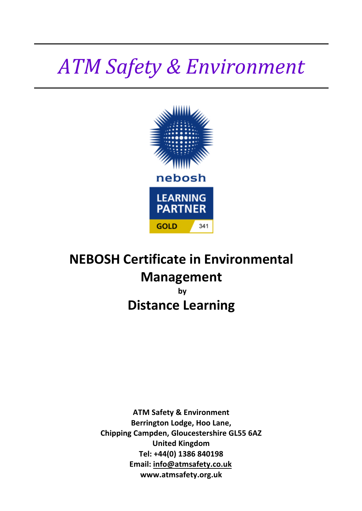# *ATM Safety & Environment*



# **NEBOSH Certificate in Environmental Management by Distance Learning**

**ATM Safety & Environment Berrington Lodge, Hoo Lane, Chipping Campden, Gloucestershire GL55 6AZ United Kingdom Tel: +44(0) 1386 840198 Email: info@atmsafety.co.uk www.atmsafety.org.uk**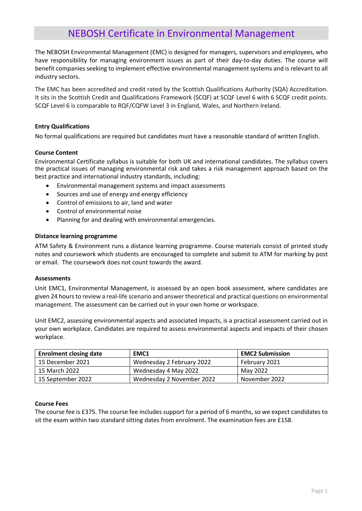### NEBOSH Certificate in Environmental Management

The NEBOSH Environmental Management (EMC) is designed for managers, supervisors and employees, who have responsibility for managing environment issues as part of their day-to-day duties. The course will benefit companies seeking to implement effective environmental management systems and is relevant to all industry sectors.

The EMC has been accredited and credit rated by the Scottish Qualifications Authority (SQA) Accreditation. It sits in the Scottish Credit and Qualifications Framework (SCQF) at SCQF Level 6 with 6 SCQF credit points. SCQF Level 6 is comparable to RQF/CQFW Level 3 in England, Wales, and Northern Ireland.

#### **Entry Qualifications**

No formal qualifications are required but candidates must have a reasonable standard of written English.

#### **Course Content**

Environmental Certificate syllabus is suitable for both UK and international candidates. The syllabus covers the practical issues of managing environmental risk and takes a risk management approach based on the best practice and international industry standards, including:

- Environmental management systems and impact assessments
- Sources and use of energy and energy efficiency
- Control of emissions to air, land and water
- Control of environmental noise
- Planning for and dealing with environmental emergencies.

#### **Distance learning programme**

ATM Safety & Environment runs a distance learning programme. Course materials consist of printed study notes and coursework which students are encouraged to complete and submit to ATM for marking by post or email. The coursework does not count towards the award.

#### **Assessments**

Unit EMC1, Environmental Management, is assessed by an open book assessment, where candidates are given 24 hours to review a real-life scenario and answer theoretical and practical questions on environmental management. The assessment can be carried out in your own home or workspace.

Unit EMC2, assessing environmental aspects and associated impacts, is a practical assessment carried out in your own workplace. Candidates are required to assess environmental aspects and impacts of their chosen workplace.

| <b>Enrolment closing date</b> | EMC1                      | <b>EMC2 Submission</b> |
|-------------------------------|---------------------------|------------------------|
| 15 December 2021              | Wednesday 2 February 2022 | February 2021          |
| 15 March 2022                 | Wednesday 4 May 2022      | May 2022               |
| 15 September 2022             | Wednesday 2 November 2022 | November 2022          |

#### **Course Fees**

The course fee is £375. The course fee includes support for a period of 6 months, so we expect candidates to sit the exam within two standard sitting dates from enrolment. The examination fees are £158.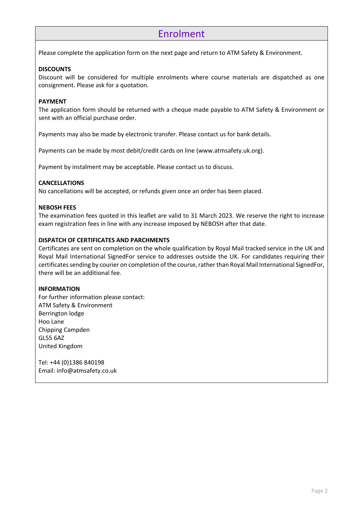## Enrolment

Please complete the application form on the next page and return to ATM Safety & Environment.

#### **DISCOUNTS**

Discount will be considered for multiple enrolments where course materials are dispatched as one consignment. Please ask for a quotation.

#### **PAYMENT**

The application form should be returned with a cheque made payable to ATM Safety & Environment or sent with an official purchase order.

Payments may also be made by electronic transfer. Please contact us for bank details.

Payments can be made by most debit/credit cards on line (www.atmsafety.uk.org).

Payment by instalment may be acceptable. Please contact us to discuss.

#### **CANCELLATIONS**

No cancellations will be accepted, or refunds given once an order has been placed.

#### **NEBOSH FEES**

The examination fees quoted in this leaflet are valid to 31 March 2023. We reserve the right to increase exam registration fees in line with any increase imposed by NEBOSH after that date.

#### **DISPATCH OF CERTIFICATES AND PARCHMENTS**

Certificates are sent on completion on the whole qualification by Royal Mail tracked service in the UK and Royal Mail International SignedFor service to addresses outside the UK. For candidates requiring their certificates sending by courier on completion of the course, rather than Royal Mail International SignedFor, there will be an additional fee.

#### **INFORMATION**

For further information please contact: ATM Safety & Environment Berrington lodge Hoo Lane Chipping Campden GL55 6AZ United Kingdom

Tel: +44 (0)1386 840198 Email: info@atmsafety.co.uk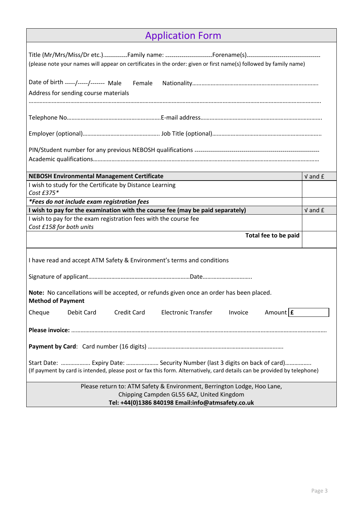|  | <b>Application Form</b> |  |  |  |
|--|-------------------------|--|--|--|
|  |                         |  |  |  |

| (please note your names will appear on certificates in the order: given or first name(s) followed by family name)                                                                                      |             |  |  |  |  |  |
|--------------------------------------------------------------------------------------------------------------------------------------------------------------------------------------------------------|-------------|--|--|--|--|--|
| Address for sending course materials                                                                                                                                                                   |             |  |  |  |  |  |
|                                                                                                                                                                                                        |             |  |  |  |  |  |
|                                                                                                                                                                                                        |             |  |  |  |  |  |
|                                                                                                                                                                                                        |             |  |  |  |  |  |
| <b>NEBOSH Environmental Management Certificate</b>                                                                                                                                                     | $V$ and $E$ |  |  |  |  |  |
| I wish to study for the Certificate by Distance Learning<br>Cost £375*                                                                                                                                 |             |  |  |  |  |  |
| *Fees do not include exam registration fees                                                                                                                                                            | $V$ and $E$ |  |  |  |  |  |
| I wish to pay for the examination with the course fee (may be paid separately)                                                                                                                         |             |  |  |  |  |  |
| I wish to pay for the exam registration fees with the course fee<br>Cost £158 for both units                                                                                                           |             |  |  |  |  |  |
| Total fee to be paid                                                                                                                                                                                   |             |  |  |  |  |  |
| I have read and accept ATM Safety & Environment's terms and conditions                                                                                                                                 |             |  |  |  |  |  |
|                                                                                                                                                                                                        |             |  |  |  |  |  |
| Note: No cancellations will be accepted, or refunds given once an order has been placed.<br><b>Method of Payment</b>                                                                                   |             |  |  |  |  |  |
| Amount E<br><b>Electronic Transfer</b><br>Cheque<br>Debit Card<br><b>Credit Card</b><br>Invoice                                                                                                        |             |  |  |  |  |  |
|                                                                                                                                                                                                        |             |  |  |  |  |  |
|                                                                                                                                                                                                        |             |  |  |  |  |  |
| Start Date:  Expiry Date:  Security Number (last 3 digits on back of card)<br>(If payment by card is intended, please post or fax this form. Alternatively, card details can be provided by telephone) |             |  |  |  |  |  |
| Please return to: ATM Safety & Environment, Berrington Lodge, Hoo Lane,<br>Chipping Campden GL55 6AZ, United Kingdom<br>Tel: +44(0)1386 840198 Email:info@atmsafety.co.uk                              |             |  |  |  |  |  |